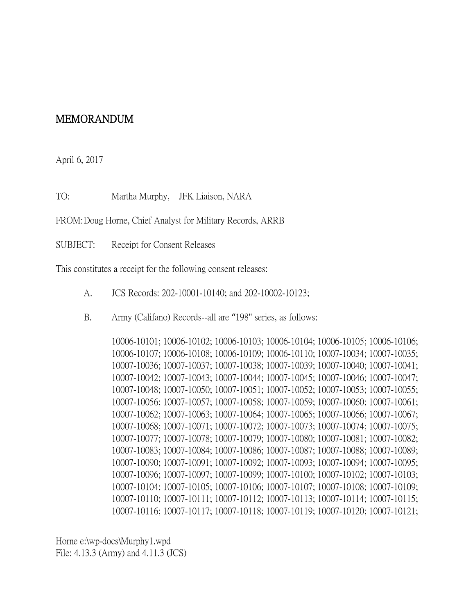## MEMORANDUM

April 6, 2017

TO: Martha Murphy, JFK Liaison, NARA

FROM:Doug Horne, Chief Analyst for Military Records, ARRB

SUBJECT: Receipt for Consent Releases

This constitutes a receipt for the following consent releases:

- A. JCS Records: 202-10001-10140; and 202-10002-10123;
- B. Army (Califano) Records--all are "198" series, as follows:

10006-10101; 10006-10102; 10006-10103; 10006-10104; 10006-10105; 10006-10106; 10006-10107; 10006-10108; 10006-10109; 10006-10110; 10007-10034; 10007-10035; 10007-10036; 10007-10037; 10007-10038; 10007-10039; 10007-10040; 10007-10041; 10007-10042; 10007-10043; 10007-10044; 10007-10045; 10007-10046; 10007-10047; 10007-10048; 10007-10050; 10007-10051; 10007-10052; 10007-10053; 10007-10055; 10007-10056; 10007-10057; 10007-10058; 10007-10059; 10007-10060; 10007-10061; 10007-10062; 10007-10063; 10007-10064; 10007-10065; 10007-10066; 10007-10067; 10007-10068; 10007-10071; 10007-10072; 10007-10073; 10007-10074; 10007-10075; 10007-10077; 10007-10078; 10007-10079; 10007-10080; 10007-10081; 10007-10082; 10007-10083; 10007-10084; 10007-10086; 10007-10087; 10007-10088; 10007-10089; 10007-10090; 10007-10091; 10007-10092; 10007-10093; 10007-10094; 10007-10095; 10007-10096; 10007-10097; 10007-10099; 10007-10100; 10007-10102; 10007-10103; 10007-10104; 10007-10105; 10007-10106; 10007-10107; 10007-10108; 10007-10109; 10007-10110; 10007-10111; 10007-10112; 10007-10113; 10007-10114; 10007-10115; 10007-10116; 10007-10117; 10007-10118; 10007-10119; 10007-10120; 10007-10121;

Horne e:\wp-docs\Murphy1.wpd File: 4.13.3 (Army) and 4.11.3 (JCS)